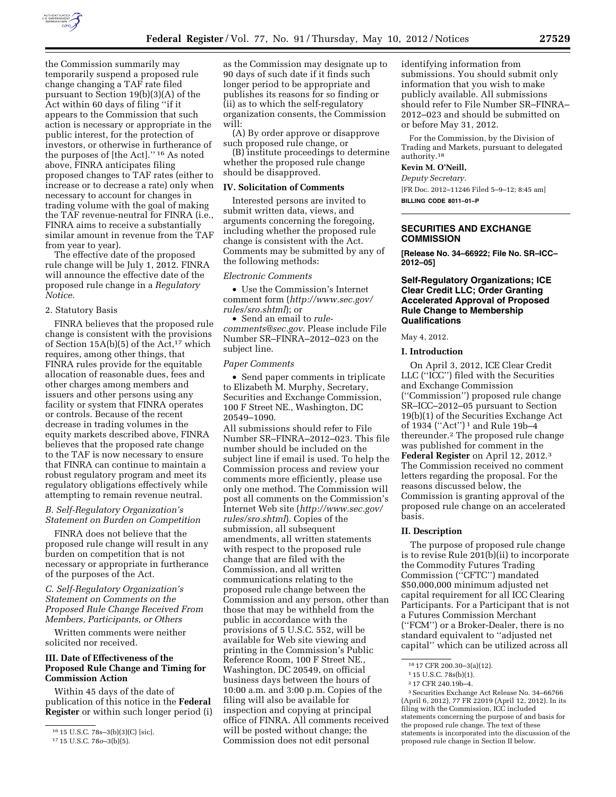

the Commission summarily may temporarily suspend a proposed rule change changing a TAF rate filed pursuant to Section 19(b)(3)(A) of the Act within 60 days of filing ''if it appears to the Commission that such action is necessary or appropriate in the public interest, for the protection of investors, or otherwise in furtherance of the purposes of [the Act].'' 16 As noted above, FINRA anticipates filing proposed changes to TAF rates (either to increase or to decrease a rate) only when necessary to account for changes in trading volume with the goal of making the TAF revenue-neutral for FINRA (i.e., FINRA aims to receive a substantially similar amount in revenue from the TAF from year to year).

The effective date of the proposed rule change will be July 1, 2012. FINRA will announce the effective date of the proposed rule change in a *Regulatory Notice.* 

### 2. Statutory Basis

FINRA believes that the proposed rule change is consistent with the provisions of Section 15A(b)(5) of the Act,<sup>17</sup> which requires, among other things, that FINRA rules provide for the equitable allocation of reasonable dues, fees and other charges among members and issuers and other persons using any facility or system that FINRA operates or controls. Because of the recent decrease in trading volumes in the equity markets described above, FINRA believes that the proposed rate change to the TAF is now necessary to ensure that FINRA can continue to maintain a robust regulatory program and meet its regulatory obligations effectively while attempting to remain revenue neutral.

### *B. Self-Regulatory Organization's Statement on Burden on Competition*

FINRA does not believe that the proposed rule change will result in any burden on competition that is not necessary or appropriate in furtherance of the purposes of the Act.

*C. Self-Regulatory Organization's Statement on Comments on the Proposed Rule Change Received From Members, Participants, or Others* 

Written comments were neither solicited nor received.

# **III. Date of Effectiveness of the Proposed Rule Change and Timing for Commission Action**

Within 45 days of the date of publication of this notice in the **Federal Register** or within such longer period (i) as the Commission may designate up to 90 days of such date if it finds such longer period to be appropriate and publishes its reasons for so finding or (ii) as to which the self-regulatory organization consents, the Commission will:

(A) By order approve or disapprove such proposed rule change, or

(B) institute proceedings to determine whether the proposed rule change should be disapproved.

#### **IV. Solicitation of Comments**

Interested persons are invited to submit written data, views, and arguments concerning the foregoing, including whether the proposed rule change is consistent with the Act. Comments may be submitted by any of the following methods:

### *Electronic Comments*

• Use the Commission's Internet comment form (*[http://www.sec.gov/](http://www.sec.gov/rules/sro.shtml)  [rules/sro.shtml](http://www.sec.gov/rules/sro.shtml)*); or

• Send an email to *[rule](mailto:rule-comments@sec.gov)[comments@sec.gov.](mailto:rule-comments@sec.gov)* Please include File Number SR–FINRA–2012–023 on the subject line.

#### *Paper Comments*

• Send paper comments in triplicate to Elizabeth M. Murphy, Secretary, Securities and Exchange Commission, 100 F Street NE., Washington, DC 20549–1090.

All submissions should refer to File Number SR–FINRA–2012–023. This file number should be included on the subject line if email is used. To help the Commission process and review your comments more efficiently, please use only one method. The Commission will post all comments on the Commission's Internet Web site (*[http://www.sec.gov/](http://www.sec.gov/rules/sro.shtml)  [rules/sro.shtml](http://www.sec.gov/rules/sro.shtml)*). Copies of the submission, all subsequent amendments, all written statements with respect to the proposed rule change that are filed with the Commission, and all written communications relating to the proposed rule change between the Commission and any person, other than those that may be withheld from the public in accordance with the provisions of 5 U.S.C. 552, will be available for Web site viewing and printing in the Commission's Public Reference Room, 100 F Street NE., Washington, DC 20549, on official business days between the hours of 10:00 a.m. and 3:00 p.m. Copies of the filing will also be available for inspection and copying at principal office of FINRA. All comments received will be posted without change; the Commission does not edit personal

identifying information from submissions. You should submit only information that you wish to make publicly available. All submissions should refer to File Number SR–FINRA– 2012–023 and should be submitted on or before May 31, 2012.

For the Commission, by the Division of Trading and Markets, pursuant to delegated authority.18

# **Kevin M. O'Neill,**

*Deputy Secretary.*  [FR Doc. 2012–11246 Filed 5–9–12; 8:45 am] **BILLING CODE 8011–01–P** 

### **SECURITIES AND EXCHANGE COMMISSION**

**[Release No. 34–66922; File No. SR–ICC– 2012–05]** 

### **Self-Regulatory Organizations; ICE Clear Credit LLC; Order Granting Accelerated Approval of Proposed Rule Change to Membership Qualifications**

#### May 4, 2012.

**I. Introduction** 

On April 3, 2012, ICE Clear Credit LLC (''ICC'') filed with the Securities and Exchange Commission (''Commission'') proposed rule change SR–ICC–2012–05 pursuant to Section 19(b)(1) of the Securities Exchange Act of 1934 (''Act'') 1 and Rule 19b–4 thereunder.2 The proposed rule change was published for comment in the **Federal Register** on April 12, 2012.3 The Commission received no comment letters regarding the proposal. For the reasons discussed below, the Commission is granting approval of the proposed rule change on an accelerated basis.

#### **II. Description**

The purpose of proposed rule change is to revise Rule 201(b)(ii) to incorporate the Commodity Futures Trading Commission (''CFTC'') mandated \$50,000,000 minimum adjusted net capital requirement for all ICC Clearing Participants. For a Participant that is not a Futures Commission Merchant (''FCM'') or a Broker-Dealer, there is no standard equivalent to ''adjusted net capital'' which can be utilized across all

<sup>16</sup> 15 U.S.C. 78s–3(b)(3)(C) [sic].

<sup>17</sup> 15 U.S.C. 78*o*–3(b)(5).

<sup>18</sup> 17 CFR 200.30–3(a)(12).

<sup>1</sup> 15 U.S.C. 78s(b)(1).

<sup>2</sup> 17 CFR 240.19b–4.

<sup>3</sup>Securities Exchange Act Release No. 34–66766 (April 6, 2012), 77 FR 22019 (April 12, 2012). In its filing with the Commission, ICC included statements concerning the purpose of and basis for the proposed rule change. The text of these statements is incorporated into the discussion of the proposed rule change in Section II below.